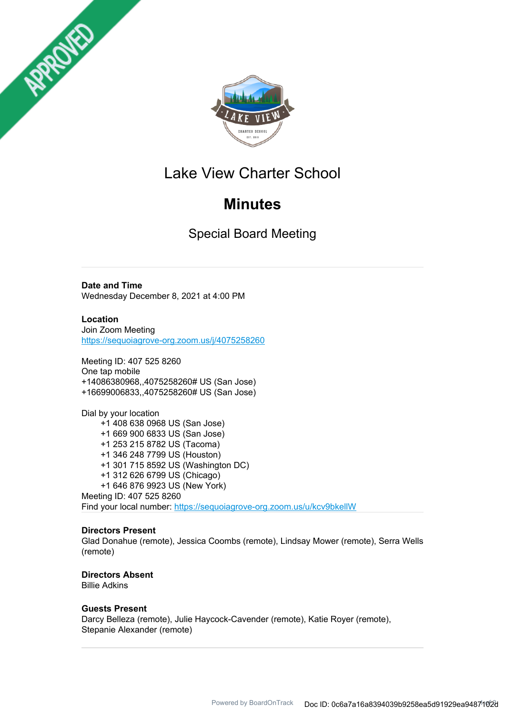



# Lake View Charter School

# **Minutes**

Special Board Meeting

**Date and Time** Wednesday December 8, 2021 at 4:00 PM

**Location** Join Zoom Meeting https://sequoiagrove-org.zoom.us/j/4075258260

Meeting ID: 407 525 8260 One tap mobile +14086380968,,4075258260# US (San Jose) +16699006833,,4075258260# US (San Jose)

Dial by your location +1 408 638 0968 US (San Jose) +1 669 900 6833 US (San Jose) +1 253 215 8782 US (Tacoma) +1 346 248 7799 US (Houston) +1 301 715 8592 US (Washington DC) +1 312 626 6799 US (Chicago) +1 646 876 9923 US (New York) Meeting ID: 407 525 8260 Find your local number: https://sequoiagrove-org.zoom.us/u/kcv9bkellW

# **Directors Present**

Glad Donahue (remote), Jessica Coombs (remote), Lindsay Mower (remote), Serra Wells (remote)

**Directors Absent** Billie Adkins

# **Guests Present**

Darcy Belleza (remote), Julie Haycock-Cavender (remote), Katie Royer (remote), Stepanie Alexander (remote)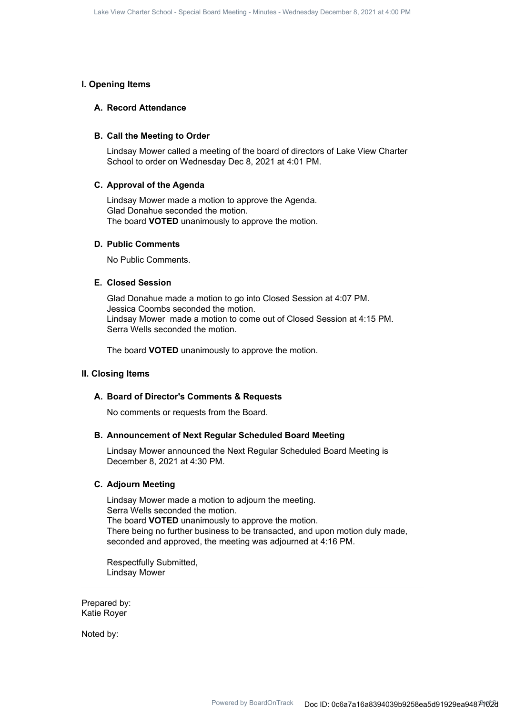### **I. Opening Items**

## **A. Record Attendance**

#### **B. Call the Meeting to Order**

Lindsay Mower called a meeting of the board of directors of Lake View Charter School to order on Wednesday Dec 8, 2021 at 4:01 PM.

### **C. Approval of the Agenda**

Lindsay Mower made a motion to approve the Agenda. Glad Donahue seconded the motion. The board **VOTED** unanimously to approve the motion.

### **D. Public Comments**

No Public Comments.

## **E. Closed Session**

Glad Donahue made a motion to go into Closed Session at 4:07 PM. Jessica Coombs seconded the motion. Lindsay Mower made a motion to come out of Closed Session at 4:15 PM. Serra Wells seconded the motion.

The board **VOTED** unanimously to approve the motion.

### **II. Closing Items**

### **A. Board of Director's Comments & Requests**

No comments or requests from the Board.

#### **B. Announcement of Next Regular Scheduled Board Meeting**

Lindsay Mower announced the Next Regular Scheduled Board Meeting is December 8, 2021 at 4:30 PM.

#### **C. Adjourn Meeting**

Lindsay Mower made a motion to adjourn the meeting. Serra Wells seconded the motion. The board **VOTED** unanimously to approve the motion. There being no further business to be transacted, and upon motion duly made, seconded and approved, the meeting was adjourned at 4:16 PM.

Respectfully Submitted, Lindsay Mower

Prepared by: Katie Royer

Noted by: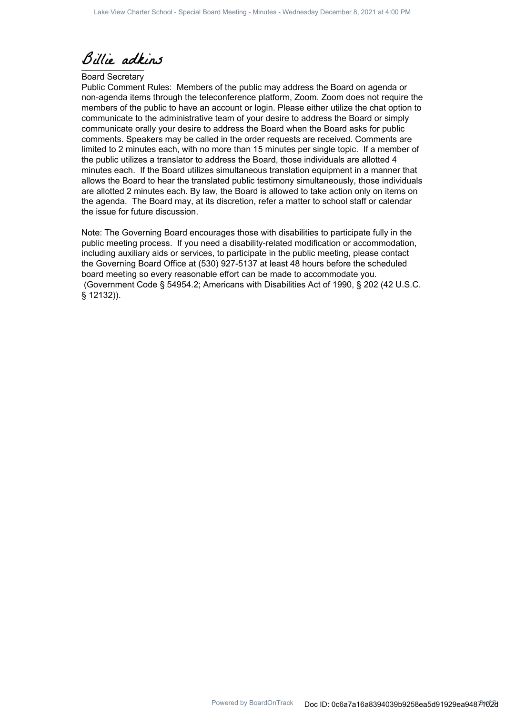Billie adkins

#### Board Secretary

Public Comment Rules: Members of the public may address the Board on agenda or non-agenda items through the teleconference platform, Zoom. Zoom does not require the members of the public to have an account or login. Please either utilize the chat option to communicate to the administrative team of your desire to address the Board or simply communicate orally your desire to address the Board when the Board asks for public comments. Speakers may be called in the order requests are received. Comments are limited to 2 minutes each, with no more than 15 minutes per single topic. If a member of the public utilizes a translator to address the Board, those individuals are allotted 4 minutes each. If the Board utilizes simultaneous translation equipment in a manner that allows the Board to hear the translated public testimony simultaneously, those individuals are allotted 2 minutes each. By law, the Board is allowed to take action only on items on the agenda. The Board may, at its discretion, refer a matter to school staff or calendar the issue for future discussion.

Note: The Governing Board encourages those with disabilities to participate fully in the public meeting process. If you need a disability-related modification or accommodation, including auxiliary aids or services, to participate in the public meeting, please contact the Governing Board Office at (530) 927-5137 at least 48 hours before the scheduled board meeting so every reasonable effort can be made to accommodate you. (Government Code § 54954.2; Americans with Disabilities Act of 1990, § 202 (42 U.S.C. § 12132)).